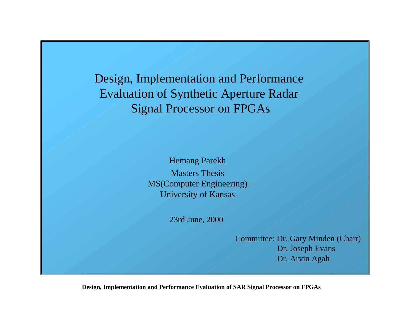Design, Implementation and Performance Evaluation of Synthetic Aperture Radar Signal Processor on FPGAs

> Hemang Parekh Masters Thesis MS(Computer Engineering) University of Kansas

> > 23rd June, 2000

Committee: Dr. Gary Minden (Chair) Dr. Joseph Evans Dr. Arvin Agah

**Design, Implementation and Performance Evaluation of SAR Signal Processor on FPGAs**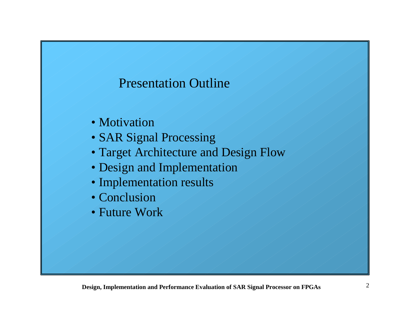# Presentation Outline

- Motivation
- SAR Signal Processing
- Target Architecture and Design Flow
- Design and Implementation
- Implementation results
- Conclusion
- Future Work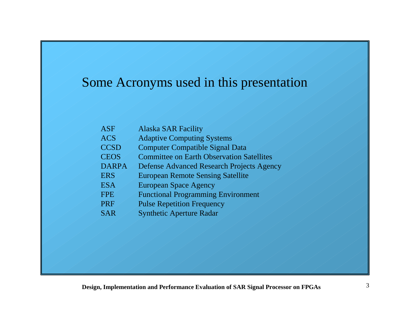# Some Acronyms used in this presentation

| <b>ASF</b>   | <b>Alaska SAR Facility</b>                       |
|--------------|--------------------------------------------------|
| <b>ACS</b>   | <b>Adaptive Computing Systems</b>                |
| <b>CCSD</b>  | <b>Computer Compatible Signal Data</b>           |
| <b>CEOS</b>  | <b>Committee on Earth Observation Satellites</b> |
| <b>DARPA</b> | <b>Defense Advanced Research Projects Agency</b> |
| <b>ERS</b>   | <b>European Remote Sensing Satellite</b>         |
| <b>ESA</b>   | <b>European Space Agency</b>                     |
| <b>FPE</b>   | <b>Functional Programming Environment</b>        |
| <b>PRF</b>   | <b>Pulse Repetition Frequency</b>                |
| <b>SAR</b>   | <b>Synthetic Aperture Radar</b>                  |
|              |                                                  |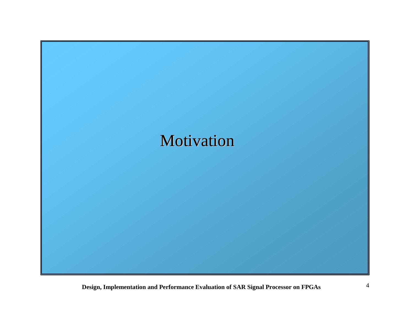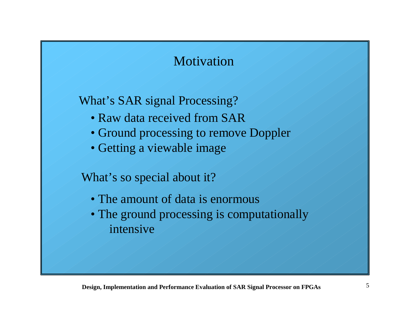# **Motivation**

What's SAR signal Processing?

- Raw data received from SAR
- Ground processing to remove Doppler
- Getting a viewable image

What's so special about it?

- The amount of data is enormous
- The ground processing is computationally intensive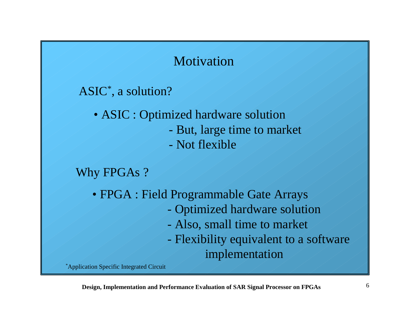# Motivation

ASIC\* , a solution?

• ASIC : Optimized hardware solution - But, large time to market - Not flexible

```
Why FPGAs ?
```
• FPGA : Field Programmable Gate Arrays - Optimized hardware solution - Also, small time to market - Flexibility equivalent to a software implementation

\*Application Specific Integrated Circuit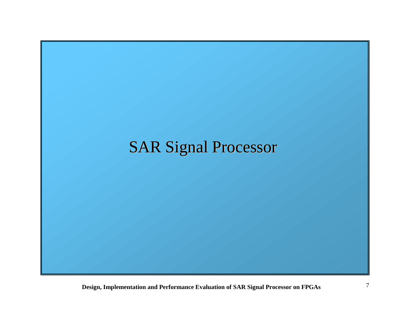# SAR Signal Processor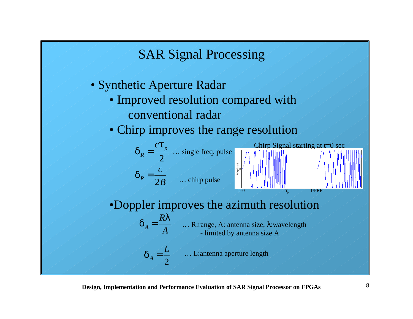

**Design, Implementation and Performance Evaluation of SAR Signal Processor on FPGAs** 8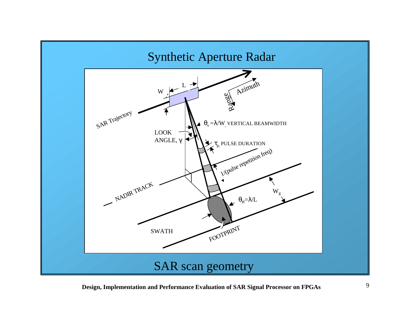

**Design, Implementation and Performance Evaluation of SAR Signal Processor on FPGAs** 9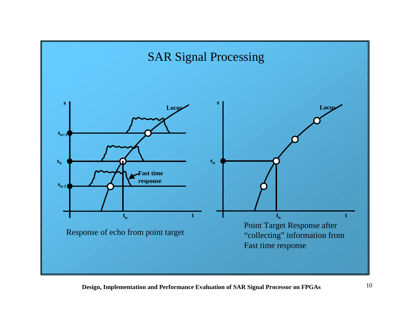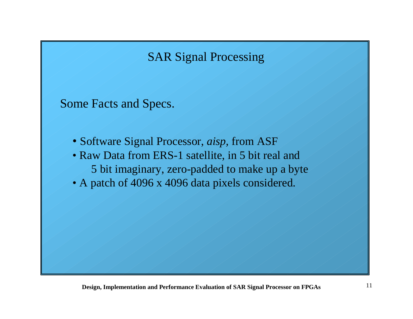### SAR Signal Processing

Some Facts and Specs.

•Software Signal Processor, *aisp,* from ASF

- Raw Data from ERS-1 satellite, in 5 bit real and 5 bit imaginary, zero-padded to make up a byte
- A patch of 4096 x 4096 data pixels considered.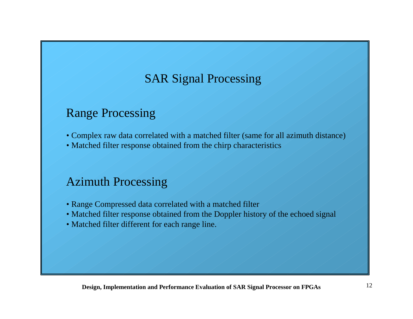# SAR Signal Processing

### Range Processing

- Complex raw data correlated with a matched filter (same for all azimuth distance)
- Matched filter response obtained from the chirp characteristics

#### Azimuth Processing

- Range Compressed data correlated with a matched filter
- Matched filter response obtained from the Doppler history of the echoed signal
- Matched filter different for each range line.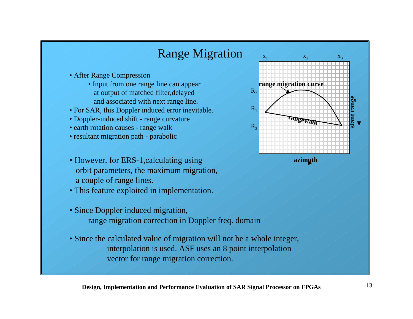### Range Migration

- After Range Compression
	- Input from one range line can appear at output of matched filter,delayed and associated with next range line.
- For SAR, this Doppler induced error inevitable.
- Doppler-induced shift range curvature
- earth rotation causes range walk
- resultant migration path parabolic
- However, for ERS-1, calculating using orbit parameters, the maximum migration, a couple of range lines.
- This feature exploited in implementation.
- Since Doppler induced migration, range migration correction in Doppler freq. domain
- Since the calculated value of migration will not be a whole integer, interpolation is used. ASF uses an 8 point interpolation vector for range migration correction.

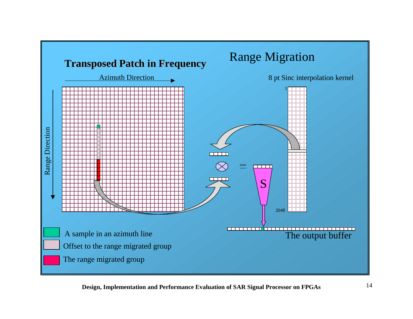

**Design, Implementation and Performance Evaluation of SAR Signal Processor on FPGAs** 14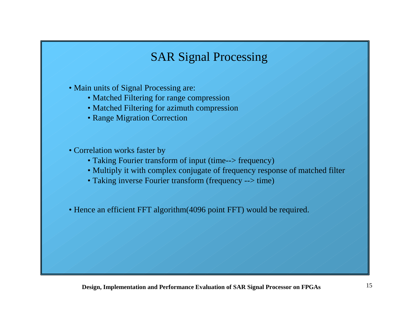### SAR Signal Processing

- Main units of Signal Processing are:
	- Matched Filtering for range compression
	- Matched Filtering for azimuth compression
	- Range Migration Correction

#### • Correlation works faster by

- Taking Fourier transform of input (time--> frequency)
- Multiply it with complex conjugate of frequency response of matched filter
- Taking inverse Fourier transform (frequency --> time)
- Hence an efficient FFT algorithm(4096 point FFT) would be required.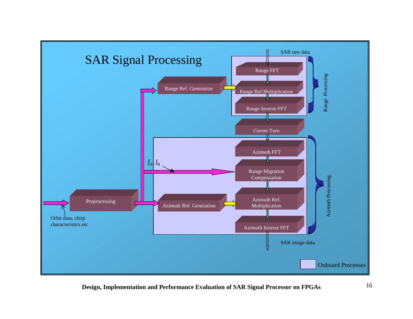

**Design, Implementation and Performance Evaluation of SAR Signal Processor on FPGAs** 16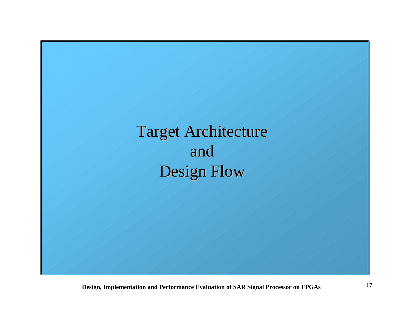Target Architecture and Design Flow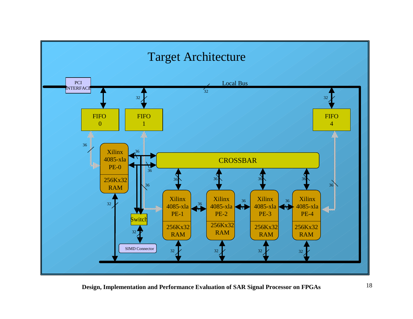

**Design, Implementation and Performance Evaluation of SAR Signal Processor on FPGAs** 18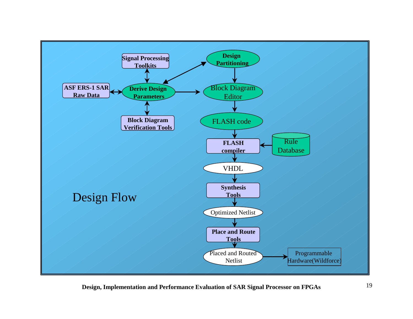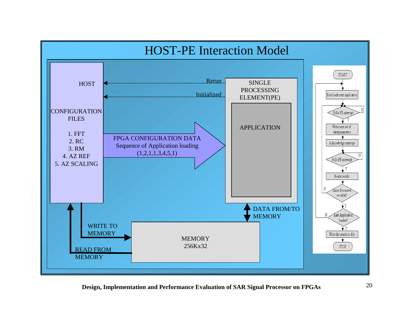

**Design, Implementation and Performance Evaluation of SAR Signal Processor on FPGAs** 20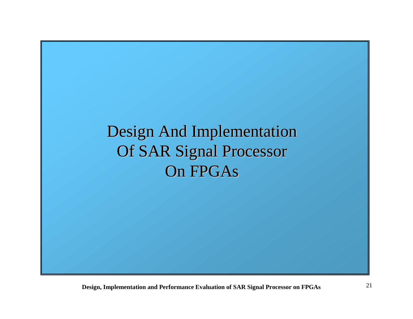Design And Implementation Of SAR Signal Processor On FPGAs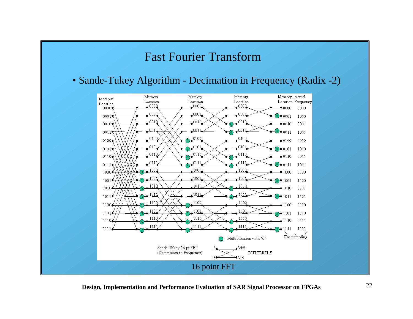

**Design, Implementation and Performance Evaluation of SAR Signal Processor on FPGAs** 22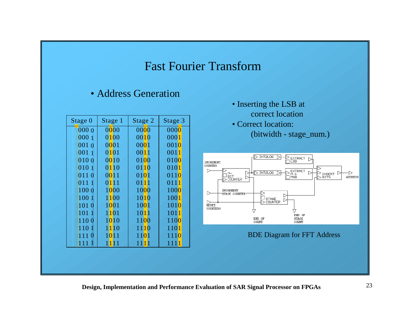### Fast Fourier Transform

• Inserting the LSB at

#### • Address Generation

| correct location<br>• Correct location:                                                                                                                | Stage 3 | Stage 2             | Stage 1 | Stage 0        |
|--------------------------------------------------------------------------------------------------------------------------------------------------------|---------|---------------------|---------|----------------|
|                                                                                                                                                        | 0000    | 0000                | 0000    | $ 0000\rangle$ |
| (bitwidth - stage_num.)                                                                                                                                | 0001    | 0010                | 0100    | 0001           |
|                                                                                                                                                        | 0010    | 0001                | 0001    | $ 0010\rangle$ |
| $>$ INT2L0G                                                                                                                                            | 0011    | 0011                | 0101    | 0011           |
| ▷<br>R EXTRACT<br>IT ESB<br>⊳⊦<br>INCREMENT                                                                                                            | 0100    | 0100                | 0010    | 0100           |
| COUNTER<br>▷                                                                                                                                           | 0101    | 0110                | 0110    | 0101           |
| $\nu_{\text{M-1}}^{\text{EXTRACT}}$<br>$>$ INT2L06<br>▷<br>▷<br>INSERT $\triangleright$<br>Ó n−<br>□ bit<br>⊟nsē<br>$\triangleright$ BITS<br>> ĈÕÚNTER | 0110    | 0101                | 0011    | 0110           |
|                                                                                                                                                        | 0111    | 0111                | 0111    | 0111           |
| INCREMENT<br>STAGE COUNTER                                                                                                                             | 1000    | 1000                | 1000    | 1000           |
| ⊿ STAGE<br>> COUNTER                                                                                                                                   | 1001    | 1010                | 1100    | 1001           |
| <b>RESET</b><br>COUNTERS                                                                                                                               | 1010    | 1001                | 1001    | 1010           |
| V<br>7<br>END OF                                                                                                                                       | 1011    | 1011                | 1101    | 1011           |
| STAGE<br>END OF<br>COUNT<br>COUNT                                                                                                                      | 1100    | 1100                | 1010    | 1100           |
|                                                                                                                                                        | 1101    | 1110                | 1110    | 1101           |
| <b>BDE Diagram for FFT Address</b>                                                                                                                     | 1110    | 1101                | 1011    | 1110           |
|                                                                                                                                                        | 1111    | 11 <mark>1</mark> 1 | 1111    | 1111           |

 $\Rightarrow$  address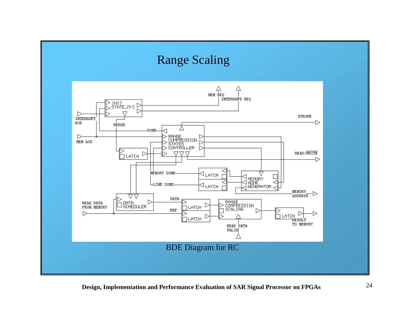

**Design, Implementation and Performance Evaluation of SAR Signal Processor on FPGAs** 24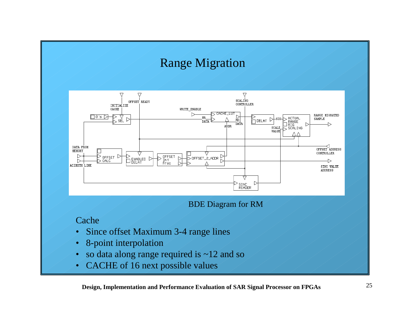### Range Migration



#### BDE Diagram for RM

#### **Cache**

- Since offset Maximum 3-4 range lines
- 8-point interpolation
- so data along range required is ~12 and so
- CACHE of 16 next possible values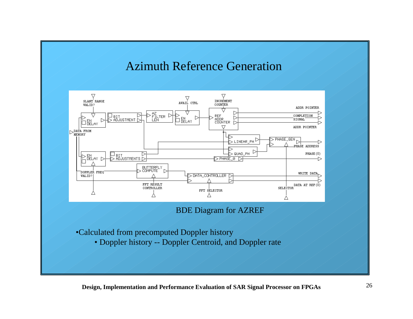#### Azimuth Reference Generation



#### BDE Diagram for AZREF

- •Calculated from precomputed Doppler history
	- Doppler history -- Doppler Centroid, and Doppler rate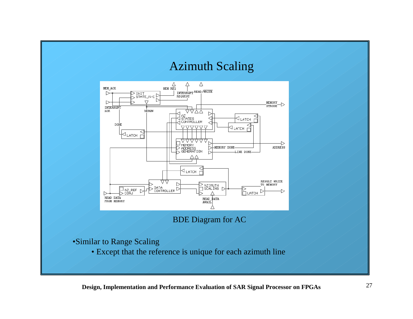

**Design, Implementation and Performance Evaluation of SAR Signal Processor on FPGAs** 27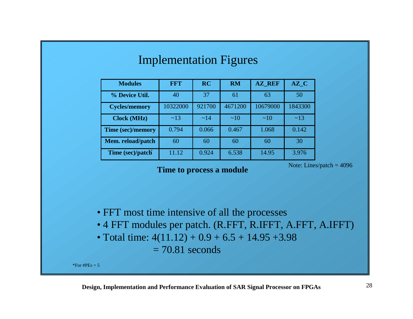| <b>Modules</b>                | <b>FFT</b> | <b>RC</b> | <b>RM</b> | <b>AZ REF</b> | AZ C    |
|-------------------------------|------------|-----------|-----------|---------------|---------|
| % Device Util.                | 40         | 37        | 61        | 63            | 50      |
| <b>Cycles/memory</b>          | 10322000   | 921700    | 4671200   | 10679000      | 1843300 |
| <b>Clock (MHz)</b>            | ~13        | ~14       | ~10       | $\sim 10$     | ~13     |
| <b>Time (sec)/memory</b>      | 0.794      | 0.066     | 0.467     | 1.068         | 0.142   |
| Mem. reload/patch             | 60         | 60        | 60        | 60            | 30      |
| Time (sec)/patch <sup>*</sup> | 11.12      | 0.924     | 6.538     | 14.95         | 3.976   |

#### Implementation Figures

Time to process a module Note: Lines/patch = 4096

- FFT most time intensive of all the processes
- 4 FFT modules per patch. (R.FFT, R.IFFT, A.FFT, A.IFFT)
- Total time:  $4(11.12) + 0.9 + 6.5 + 14.95 + 3.98$ 
	- $= 70.81$  seconds

\*For #PEs  $= 5$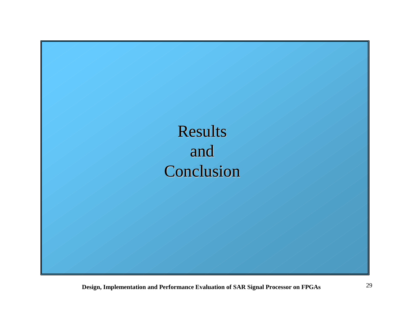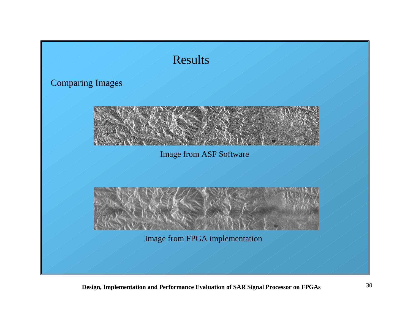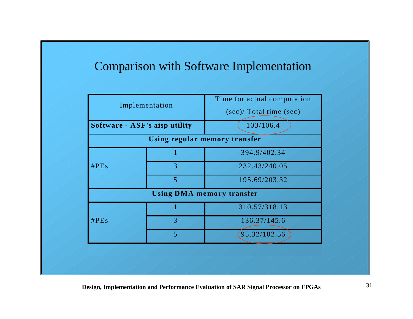# Comparison with Software Implementation

| Implementation                |   | Time for actual computation<br>(sec)/ Total time (sec) |  |  |  |  |  |
|-------------------------------|---|--------------------------------------------------------|--|--|--|--|--|
| Software - ASF's aisp utility |   | 103/106.4                                              |  |  |  |  |  |
| Using regular memory transfer |   |                                                        |  |  |  |  |  |
|                               |   | 394.9/402.34                                           |  |  |  |  |  |
| #PEs                          | 3 | 232.43/240.05                                          |  |  |  |  |  |
|                               | 5 | 195.69/203.32                                          |  |  |  |  |  |
|                               |   | <b>Using DMA memory transfer</b>                       |  |  |  |  |  |
|                               |   | 310.57/318.13                                          |  |  |  |  |  |
| #PEs                          | 3 | 136.37/145.6                                           |  |  |  |  |  |
|                               | 5 | 95.32/102.56                                           |  |  |  |  |  |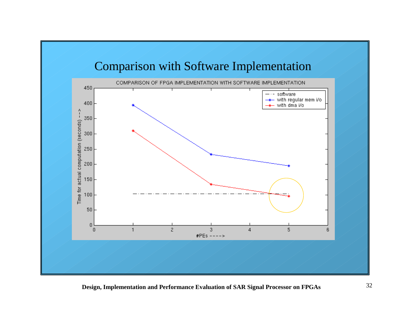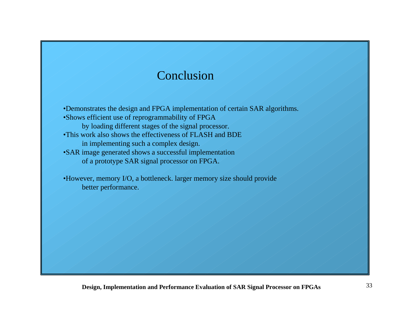### Conclusion

•Demonstrates the design and FPGA implementation of certain SAR algorithms. •Shows efficient use of reprogrammability of FPGA by loading different stages of the signal processor. •This work also shows the effectiveness of FLASH and BDE in implementing such a complex design. •SAR image generated shows a successful implementation of a prototype SAR signal processor on FPGA.

•However, memory I/O, a bottleneck. larger memory size should provide better performance.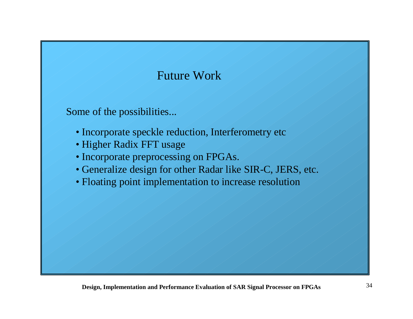## Future Work

Some of the possibilities...

- Incorporate speckle reduction, Interferometry etc
- Higher Radix FFT usage
- Incorporate preprocessing on FPGAs.
- Generalize design for other Radar like SIR-C, JERS, etc.
- Floating point implementation to increase resolution